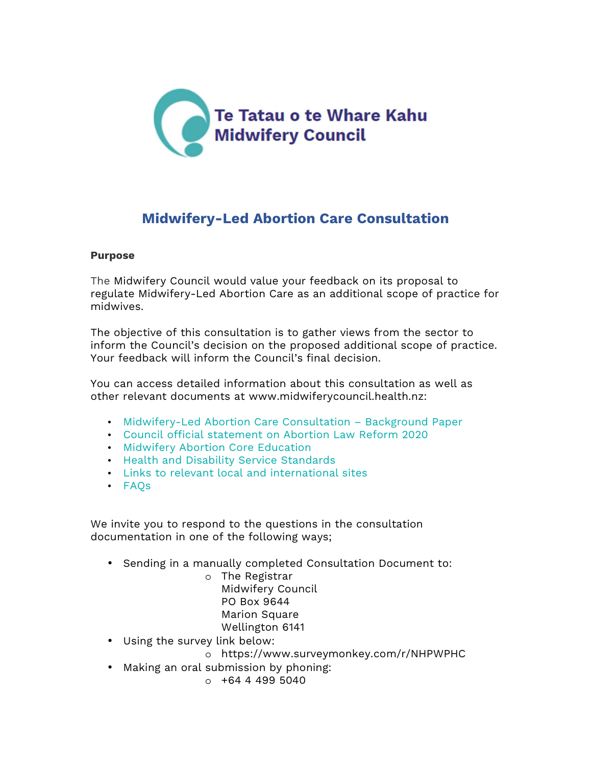

# **Midwifery-Led Abortion Care Consultation**

## **Purpose**

The Midwifery Council would value your feedback on its proposal to regulate Midwifery-Led Abortion Care as an additional scope of practice for midwives.

The objective of this consultation is to gather views from the sector to inform the Council's decision on the proposed additional scope of practice. Your feedback will inform the Council's final decision.

You can access detailed information about this consultation as well as other relevant documents at www.midwiferycouncil.health.nz:

- Midwifery-Led Abortion Care Consultation Background Paper
- Council official statement on Abortion Law Reform 2020
- Midwifery Abortion Core Education
- Health and Disability Service Standards
- Links to relevant local and international sites
- FAQs

We invite you to respond to the questions in the consultation documentation in one of the following ways;

• Sending in a manually completed Consultation Document to:

o The Registrar Midwifery Council PO Box 9644 Marion Square Wellington 6141

- Using the survey link below:
	- o https://www.surveymonkey.com/r/NHPWPHC
- Making an oral submission by phoning:
	- $0 + 64 4 499 5040$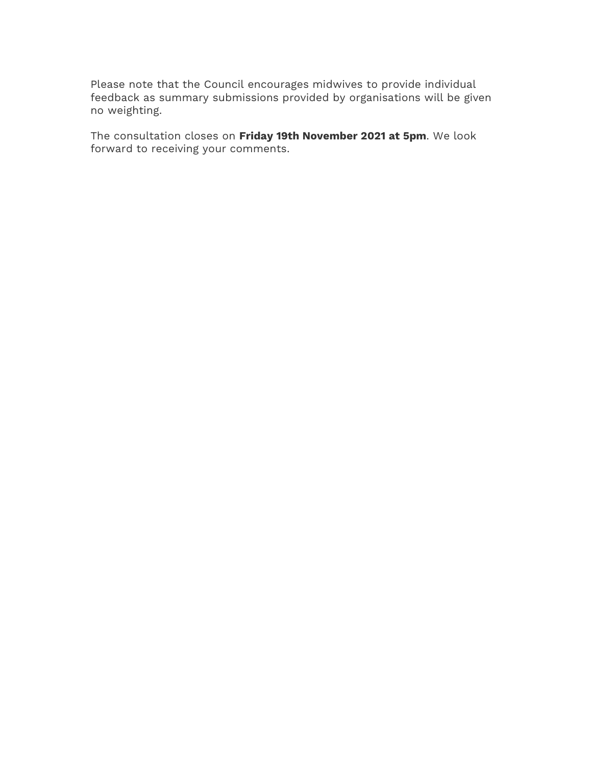Please note that the Council encourages midwives to provide individual feedback as summary submissions provided by organisations will be given no weighting.

The consultation closes on **Friday 19th November 2021 at 5pm**. We look forward to receiving your comments.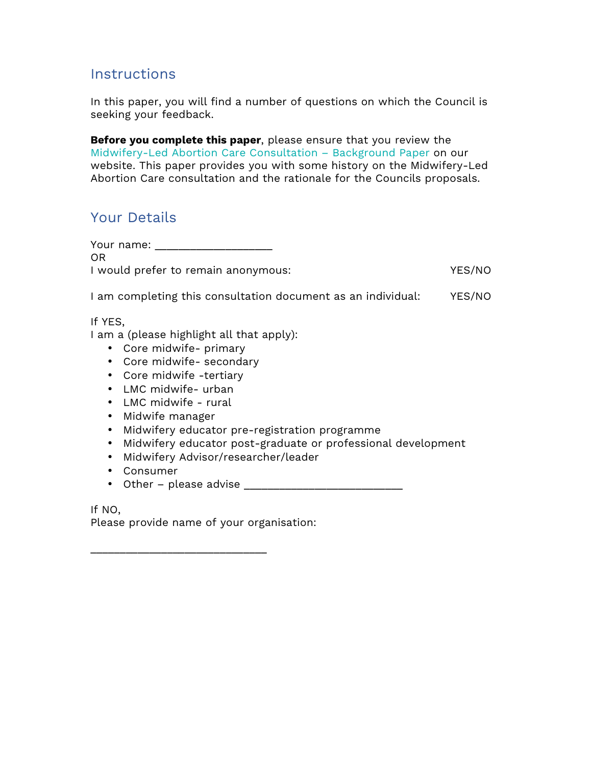## **Instructions**

In this paper, you will find a number of questions on which the Council is seeking your feedback.

**Before you complete this paper**, please ensure that you review the Midwifery-Led Abortion Care Consultation – Background Paper on our website. This paper provides you with some history on the Midwifery-Led Abortion Care consultation and the rationale for the Councils proposals.

# Your Details

Your name: \_\_\_\_\_\_\_\_\_\_\_\_\_\_\_\_\_\_\_\_\_\_ OR I would prefer to remain anonymous: YES/NO

I am completing this consultation document as an individual: YES/NO

If YES,

I am a (please highlight all that apply):

- Core midwife- primary
- Core midwife- secondary
- Core midwife -tertiary
- LMC midwife- urban
- LMC midwife rural
- Midwife manager
- Midwifery educator pre-registration programme
- Midwifery educator post-graduate or professional development
- Midwifery Advisor/researcher/leader
- Consumer
- Other please advise  $\frac{1}{2}$  =  $\frac{1}{2}$  =  $\frac{1}{2}$  =  $\frac{1}{2}$  =  $\frac{1}{2}$  =  $\frac{1}{2}$  =  $\frac{1}{2}$  =  $\frac{1}{2}$  =  $\frac{1}{2}$  =  $\frac{1}{2}$  =  $\frac{1}{2}$  =  $\frac{1}{2}$  =  $\frac{1}{2}$  =  $\frac{1}{2}$  =  $\frac{1}{2}$  =  $\frac{1}{2}$  =  $\frac{1$

If NO,

Please provide name of your organisation:

\_\_\_\_\_\_\_\_\_\_\_\_\_\_\_\_\_\_\_\_\_\_\_\_\_\_\_\_\_\_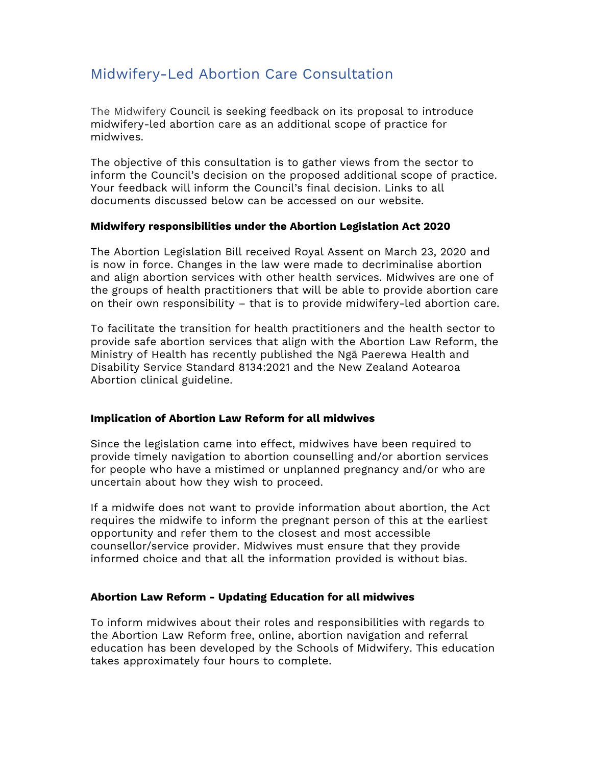# Midwifery-Led Abortion Care Consultation

The Midwifery Council is seeking feedback on its proposal to introduce midwifery-led abortion care as an additional scope of practice for midwives.

The objective of this consultation is to gather views from the sector to inform the Council's decision on the proposed additional scope of practice. Your feedback will inform the Council's final decision. Links to all documents discussed below can be accessed on our website.

#### **Midwifery responsibilities under the Abortion Legislation Act 2020**

The Abortion Legislation Bill received Royal Assent on March 23, 2020 and is now in force. Changes in the law were made to decriminalise abortion and align abortion services with other health services. Midwives are one of the groups of health practitioners that will be able to provide abortion care on their own responsibility – that is to provide midwifery-led abortion care.

To facilitate the transition for health practitioners and the health sector to provide safe abortion services that align with the Abortion Law Reform, the Ministry of Health has recently published the Ngā Paerewa Health and Disability Service Standard 8134:2021 and the New Zealand Aotearoa Abortion clinical guideline.

#### **Implication of Abortion Law Reform for all midwives**

Since the legislation came into effect, midwives have been required to provide timely navigation to abortion counselling and/or abortion services for people who have a mistimed or unplanned pregnancy and/or who are uncertain about how they wish to proceed.

If a midwife does not want to provide information about abortion, the Act requires the midwife to inform the pregnant person of this at the earliest opportunity and refer them to the closest and most accessible counsellor/service provider. Midwives must ensure that they provide informed choice and that all the information provided is without bias.

## **Abortion Law Reform - Updating Education for all midwives**

To inform midwives about their roles and responsibilities with regards to the Abortion Law Reform free, online, abortion navigation and referral education has been developed by the Schools of Midwifery. This education takes approximately four hours to complete.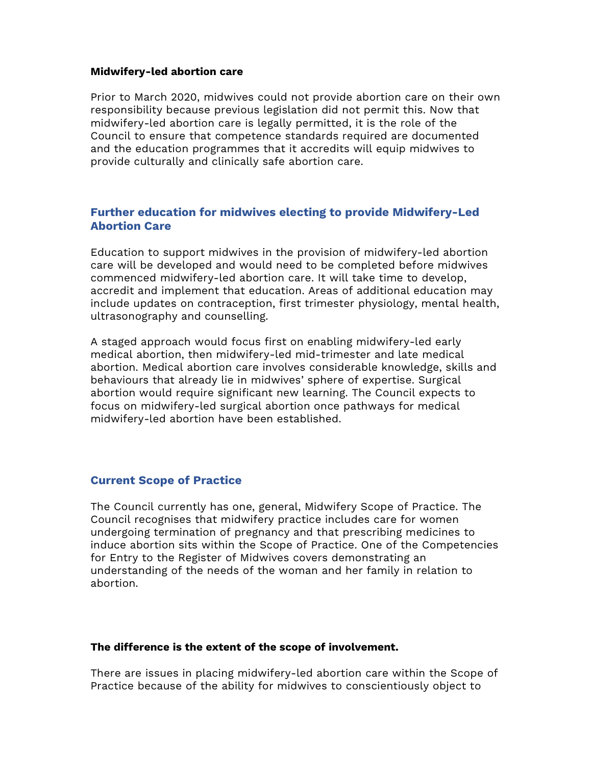#### **Midwifery-led abortion care**

Prior to March 2020, midwives could not provide abortion care on their own responsibility because previous legislation did not permit this. Now that midwifery-led abortion care is legally permitted, it is the role of the Council to ensure that competence standards required are documented and the education programmes that it accredits will equip midwives to provide culturally and clinically safe abortion care.

## **Further education for midwives electing to provide Midwifery-Led Abortion Care**

Education to support midwives in the provision of midwifery-led abortion care will be developed and would need to be completed before midwives commenced midwifery-led abortion care. It will take time to develop, accredit and implement that education. Areas of additional education may include updates on contraception, first trimester physiology, mental health, ultrasonography and counselling.

A staged approach would focus first on enabling midwifery-led early medical abortion, then midwifery-led mid-trimester and late medical abortion. Medical abortion care involves considerable knowledge, skills and behaviours that already lie in midwives' sphere of expertise. Surgical abortion would require significant new learning. The Council expects to focus on midwifery-led surgical abortion once pathways for medical midwifery-led abortion have been established.

## **Current Scope of Practice**

The Council currently has one, general, Midwifery Scope of Practice. The Council recognises that midwifery practice includes care for women undergoing termination of pregnancy and that prescribing medicines to induce abortion sits within the Scope of Practice. One of the Competencies for Entry to the Register of Midwives covers demonstrating an understanding of the needs of the woman and her family in relation to abortion.

#### **The difference is the extent of the scope of involvement.**

There are issues in placing midwifery-led abortion care within the Scope of Practice because of the ability for midwives to conscientiously object to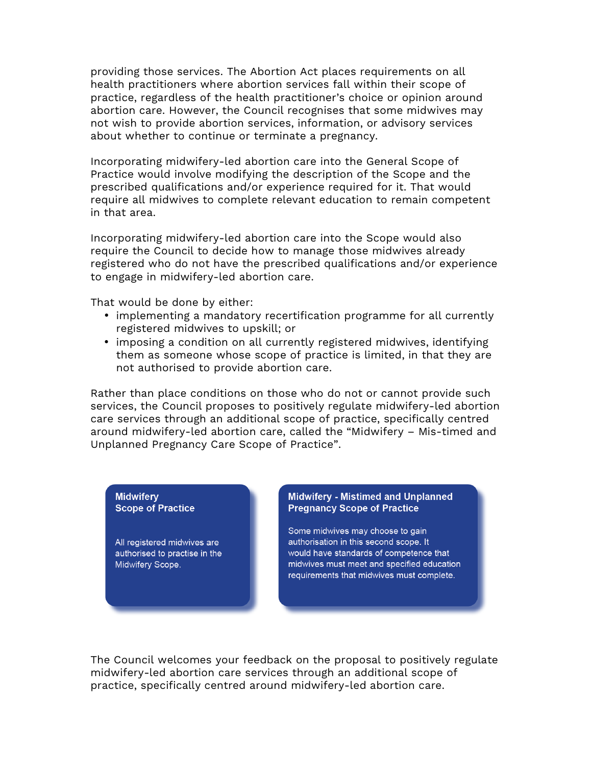providing those services. The Abortion Act places requirements on all health practitioners where abortion services fall within their scope of practice, regardless of the health practitioner's choice or opinion around abortion care. However, the Council recognises that some midwives may not wish to provide abortion services, information, or advisory services about whether to continue or terminate a pregnancy.

Incorporating midwifery-led abortion care into the General Scope of Practice would involve modifying the description of the Scope and the prescribed qualifications and/or experience required for it. That would require all midwives to complete relevant education to remain competent in that area.

Incorporating midwifery-led abortion care into the Scope would also require the Council to decide how to manage those midwives already registered who do not have the prescribed qualifications and/or experience to engage in midwifery-led abortion care.

That would be done by either:

- implementing a mandatory recertification programme for all currently registered midwives to upskill; or
- imposing a condition on all currently registered midwives, identifying them as someone whose scope of practice is limited, in that they are not authorised to provide abortion care.

Rather than place conditions on those who do not or cannot provide such services, the Council proposes to positively regulate midwifery-led abortion care services through an additional scope of practice, specifically centred around midwifery-led abortion care, called the "Midwifery – Mis-timed and Unplanned Pregnancy Care Scope of Practice".

#### **Midwiferv Scope of Practice**

All registered midwives are authorised to practise in the Midwifery Scope.

#### Midwifery - Mistimed and Unplanned **Pregnancy Scope of Practice**

Some midwives may choose to gain authorisation in this second scope. It would have standards of competence that midwives must meet and specified education requirements that midwives must complete.

The Council welcomes your feedback on the proposal to positively regulate midwifery-led abortion care services through an additional scope of practice, specifically centred around midwifery-led abortion care.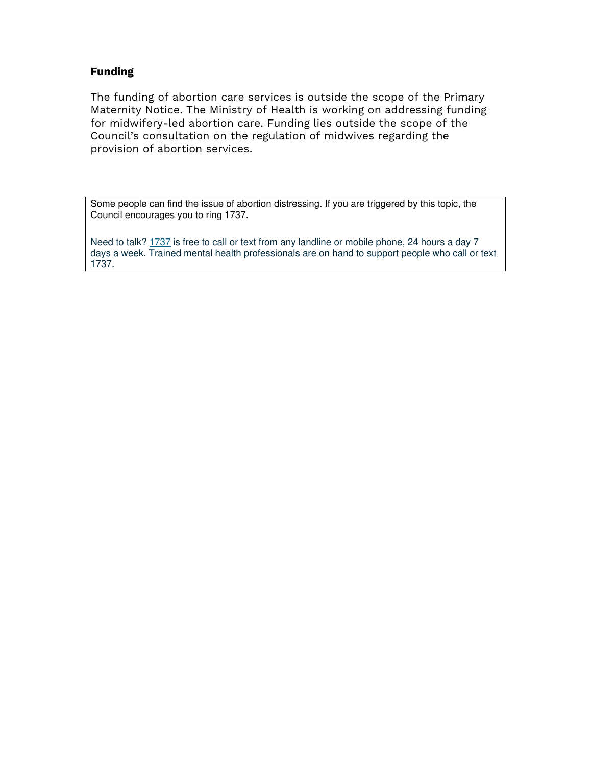## **Funding**

The funding of abortion care services is outside the scope of the Primary Maternity Notice. The Ministry of Health is working on addressing funding for midwifery-led abortion care. Funding lies outside the scope of the Council's consultation on the regulation of midwives regarding the provision of abortion services.

Some people can find the issue of abortion distressing. If you are triggered by this topic, the Council encourages you to ring 1737.

Need to talk? 1737 is free to call or text from any landline or mobile phone, 24 hours a day 7 days a week. Trained mental health professionals are on hand to support people who call or text 1737.